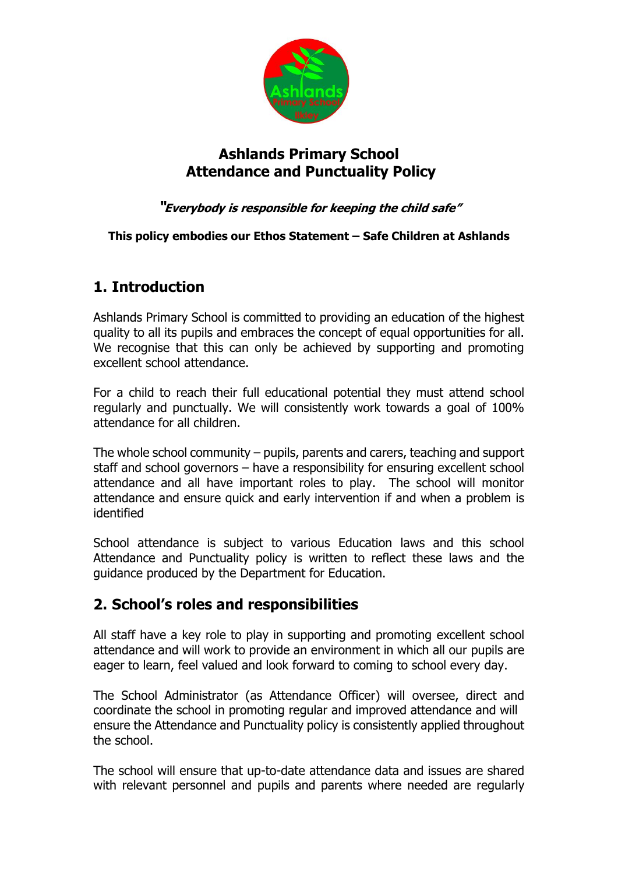

### **Ashlands Primary School Attendance and Punctuality Policy**

#### **"Everybody is responsible for keeping the child safe"**

#### **This policy embodies our Ethos Statement – Safe Children at Ashlands**

## **1. Introduction**

Ashlands Primary School is committed to providing an education of the highest quality to all its pupils and embraces the concept of equal opportunities for all. We recognise that this can only be achieved by supporting and promoting excellent school attendance.

For a child to reach their full educational potential they must attend school regularly and punctually. We will consistently work towards a goal of 100% attendance for all children.

The whole school community – pupils, parents and carers, teaching and support staff and school governors – have a responsibility for ensuring excellent school attendance and all have important roles to play. The school will monitor attendance and ensure quick and early intervention if and when a problem is identified

School attendance is subject to various Education laws and this school Attendance and Punctuality policy is written to reflect these laws and the guidance produced by the Department for Education.

### **2. School's roles and responsibilities**

All staff have a key role to play in supporting and promoting excellent school attendance and will work to provide an environment in which all our pupils are eager to learn, feel valued and look forward to coming to school every day.

The School Administrator (as Attendance Officer) will oversee, direct and coordinate the school in promoting regular and improved attendance and will ensure the Attendance and Punctuality policy is consistently applied throughout the school.

The school will ensure that up-to-date attendance data and issues are shared with relevant personnel and pupils and parents where needed are regularly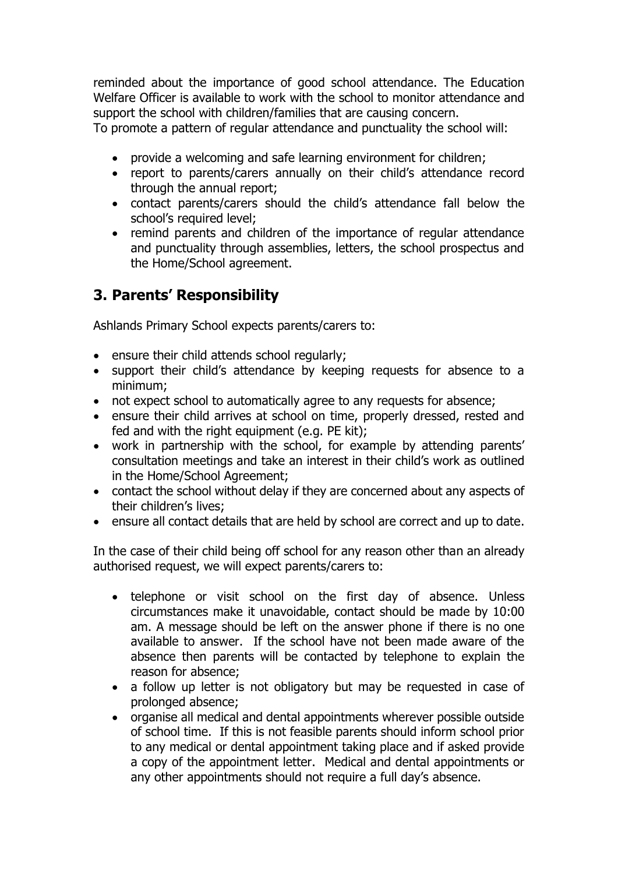reminded about the importance of good school attendance. The Education Welfare Officer is available to work with the school to monitor attendance and support the school with children/families that are causing concern.

To promote a pattern of regular attendance and punctuality the school will:

- provide a welcoming and safe learning environment for children;
- report to parents/carers annually on their child's attendance record through the annual report;
- contact parents/carers should the child's attendance fall below the school's required level;
- remind parents and children of the importance of regular attendance and punctuality through assemblies, letters, the school prospectus and the Home/School agreement.

# **3. Parents' Responsibility**

Ashlands Primary School expects parents/carers to:

- ensure their child attends school regularly;
- support their child's attendance by keeping requests for absence to a minimum;
- not expect school to automatically agree to any requests for absence;
- ensure their child arrives at school on time, properly dressed, rested and fed and with the right equipment (e.g. PE kit);
- work in partnership with the school, for example by attending parents' consultation meetings and take an interest in their child's work as outlined in the Home/School Agreement;
- contact the school without delay if they are concerned about any aspects of their children's lives;
- ensure all contact details that are held by school are correct and up to date.

In the case of their child being off school for any reason other than an already authorised request, we will expect parents/carers to:

- telephone or visit school on the first day of absence. Unless circumstances make it unavoidable, contact should be made by 10:00 am. A message should be left on the answer phone if there is no one available to answer. If the school have not been made aware of the absence then parents will be contacted by telephone to explain the reason for absence;
- a follow up letter is not obligatory but may be requested in case of prolonged absence;
- organise all medical and dental appointments wherever possible outside of school time. If this is not feasible parents should inform school prior to any medical or dental appointment taking place and if asked provide a copy of the appointment letter. Medical and dental appointments or any other appointments should not require a full day's absence.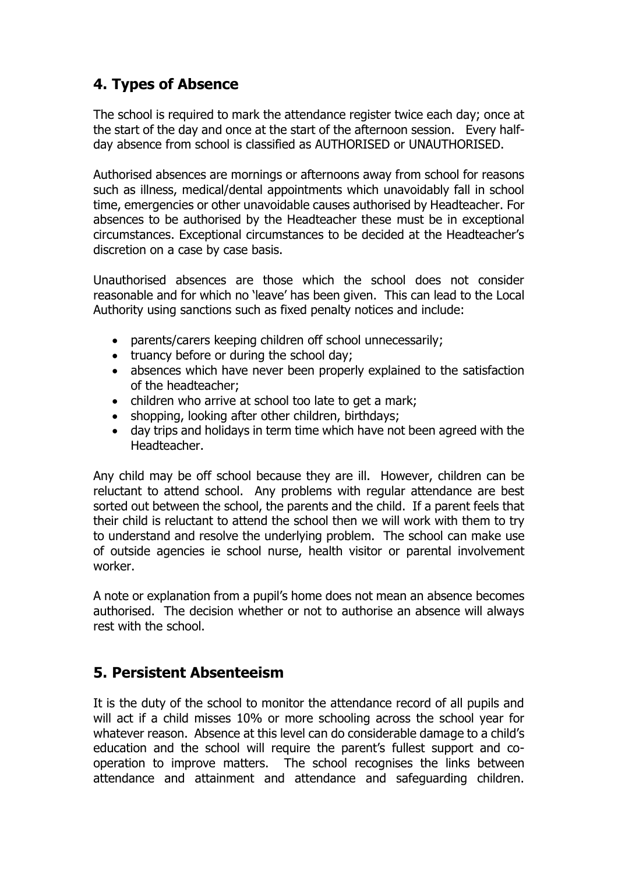# **4. Types of Absence**

The school is required to mark the attendance register twice each day; once at the start of the day and once at the start of the afternoon session. Every halfday absence from school is classified as AUTHORISED or UNAUTHORISED.

Authorised absences are mornings or afternoons away from school for reasons such as illness, medical/dental appointments which unavoidably fall in school time, emergencies or other unavoidable causes authorised by Headteacher. For absences to be authorised by the Headteacher these must be in exceptional circumstances. Exceptional circumstances to be decided at the Headteacher's discretion on a case by case basis.

Unauthorised absences are those which the school does not consider reasonable and for which no 'leave' has been given. This can lead to the Local Authority using sanctions such as fixed penalty notices and include:

- parents/carers keeping children off school unnecessarily;
- truancy before or during the school day;
- absences which have never been properly explained to the satisfaction of the headteacher;
- children who arrive at school too late to get a mark;
- shopping, looking after other children, birthdays:
- day trips and holidays in term time which have not been agreed with the Headteacher.

Any child may be off school because they are ill. However, children can be reluctant to attend school. Any problems with regular attendance are best sorted out between the school, the parents and the child. If a parent feels that their child is reluctant to attend the school then we will work with them to try to understand and resolve the underlying problem. The school can make use of outside agencies ie school nurse, health visitor or parental involvement worker.

A note or explanation from a pupil's home does not mean an absence becomes authorised. The decision whether or not to authorise an absence will always rest with the school.

### **5. Persistent Absenteeism**

It is the duty of the school to monitor the attendance record of all pupils and will act if a child misses 10% or more schooling across the school year for whatever reason. Absence at this level can do considerable damage to a child's education and the school will require the parent's fullest support and cooperation to improve matters. The school recognises the links between attendance and attainment and attendance and safeguarding children.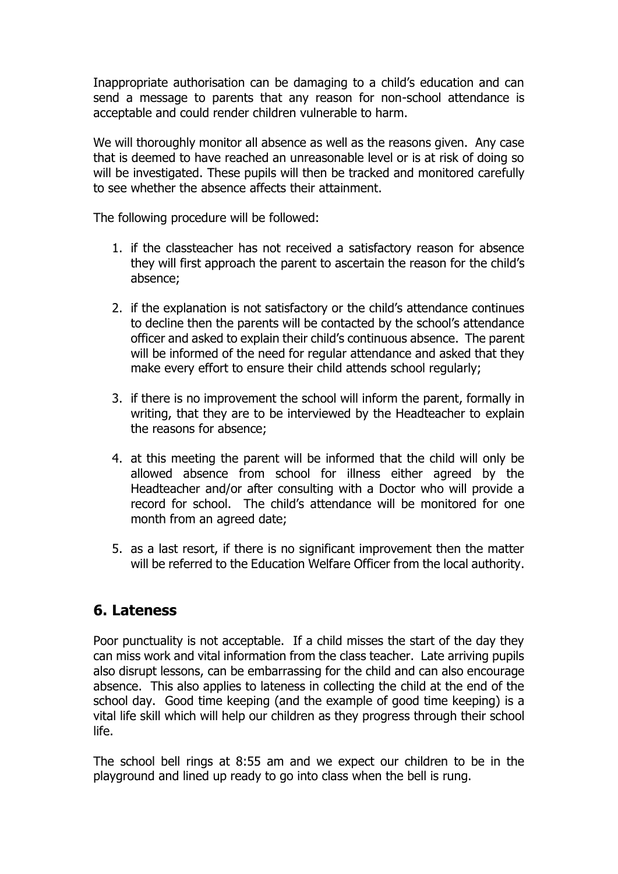Inappropriate authorisation can be damaging to a child's education and can send a message to parents that any reason for non-school attendance is acceptable and could render children vulnerable to harm.

We will thoroughly monitor all absence as well as the reasons given. Any case that is deemed to have reached an unreasonable level or is at risk of doing so will be investigated. These pupils will then be tracked and monitored carefully to see whether the absence affects their attainment.

The following procedure will be followed:

- 1. if the classteacher has not received a satisfactory reason for absence they will first approach the parent to ascertain the reason for the child's absence;
- 2. if the explanation is not satisfactory or the child's attendance continues to decline then the parents will be contacted by the school's attendance officer and asked to explain their child's continuous absence. The parent will be informed of the need for regular attendance and asked that they make every effort to ensure their child attends school regularly;
- 3. if there is no improvement the school will inform the parent, formally in writing, that they are to be interviewed by the Headteacher to explain the reasons for absence;
- 4. at this meeting the parent will be informed that the child will only be allowed absence from school for illness either agreed by the Headteacher and/or after consulting with a Doctor who will provide a record for school. The child's attendance will be monitored for one month from an agreed date;
- 5. as a last resort, if there is no significant improvement then the matter will be referred to the Education Welfare Officer from the local authority.

#### **6. Lateness**

Poor punctuality is not acceptable. If a child misses the start of the day they can miss work and vital information from the class teacher. Late arriving pupils also disrupt lessons, can be embarrassing for the child and can also encourage absence. This also applies to lateness in collecting the child at the end of the school day. Good time keeping (and the example of good time keeping) is a vital life skill which will help our children as they progress through their school life.

The school bell rings at 8:55 am and we expect our children to be in the playground and lined up ready to go into class when the bell is rung.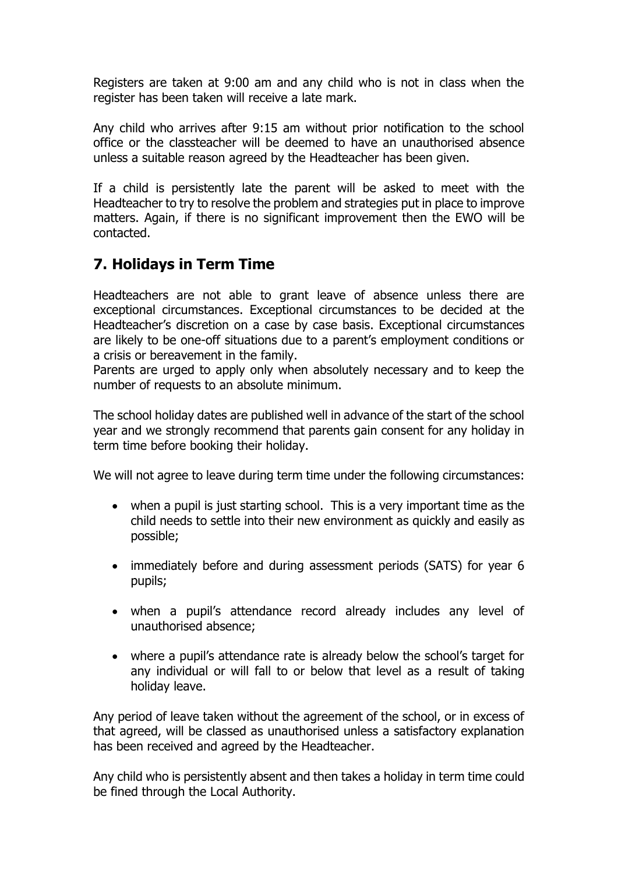Registers are taken at 9:00 am and any child who is not in class when the register has been taken will receive a late mark.

Any child who arrives after 9:15 am without prior notification to the school office or the classteacher will be deemed to have an unauthorised absence unless a suitable reason agreed by the Headteacher has been given.

If a child is persistently late the parent will be asked to meet with the Headteacher to try to resolve the problem and strategies put in place to improve matters. Again, if there is no significant improvement then the EWO will be contacted.

## **7. Holidays in Term Time**

Headteachers are not able to grant leave of absence unless there are exceptional circumstances. Exceptional circumstances to be decided at the Headteacher's discretion on a case by case basis. Exceptional circumstances are likely to be one-off situations due to a parent's employment conditions or a crisis or bereavement in the family.

Parents are urged to apply only when absolutely necessary and to keep the number of requests to an absolute minimum.

The school holiday dates are published well in advance of the start of the school year and we strongly recommend that parents gain consent for any holiday in term time before booking their holiday.

We will not agree to leave during term time under the following circumstances:

- when a pupil is just starting school. This is a very important time as the child needs to settle into their new environment as quickly and easily as possible;
- immediately before and during assessment periods (SATS) for year 6 pupils;
- when a pupil's attendance record already includes any level of unauthorised absence;
- where a pupil's attendance rate is already below the school's target for any individual or will fall to or below that level as a result of taking holiday leave.

Any period of leave taken without the agreement of the school, or in excess of that agreed, will be classed as unauthorised unless a satisfactory explanation has been received and agreed by the Headteacher.

Any child who is persistently absent and then takes a holiday in term time could be fined through the Local Authority.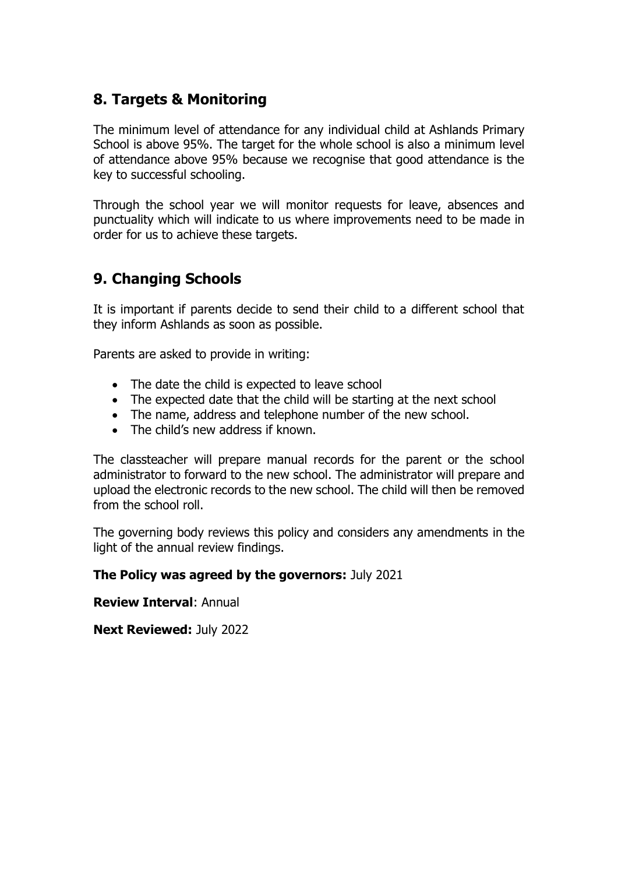### **8. Targets & Monitoring**

The minimum level of attendance for any individual child at Ashlands Primary School is above 95%. The target for the whole school is also a minimum level of attendance above 95% because we recognise that good attendance is the key to successful schooling.

Through the school year we will monitor requests for leave, absences and punctuality which will indicate to us where improvements need to be made in order for us to achieve these targets.

## **9. Changing Schools**

It is important if parents decide to send their child to a different school that they inform Ashlands as soon as possible.

Parents are asked to provide in writing:

- The date the child is expected to leave school
- The expected date that the child will be starting at the next school
- The name, address and telephone number of the new school.
- The child's new address if known.

The classteacher will prepare manual records for the parent or the school administrator to forward to the new school. The administrator will prepare and upload the electronic records to the new school. The child will then be removed from the school roll.

The governing body reviews this policy and considers any amendments in the light of the annual review findings.

#### **The Policy was agreed by the governors:** July 2021

**Review Interval**: Annual

**Next Reviewed:** July 2022